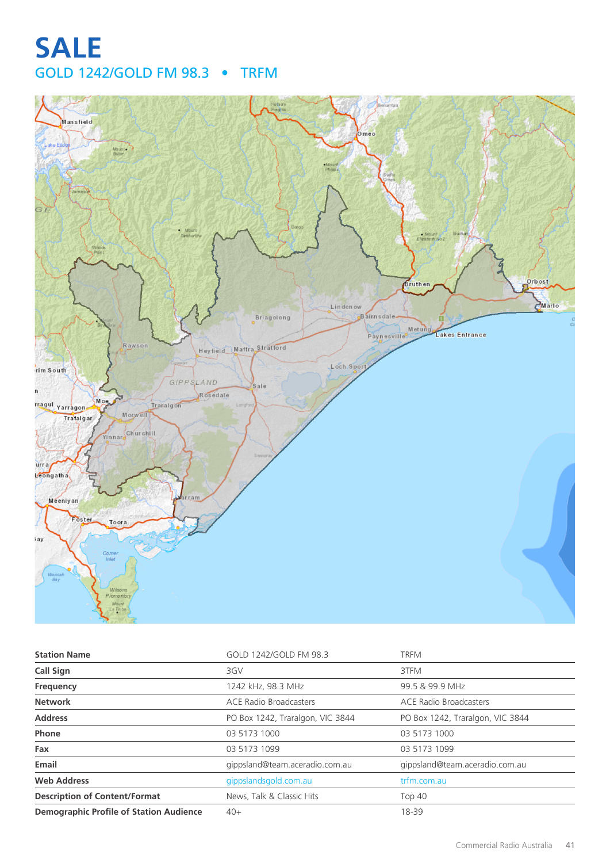# **SALE** GOLD 1242/GOLD FM 98.3 • TRFM



| <b>Station Name</b>                            | GOLD 1242/GOLD FM 98.3           | <b>TRFM</b>                      |
|------------------------------------------------|----------------------------------|----------------------------------|
| <b>Call Sign</b>                               | 3GV                              | 3TFM                             |
| Frequency                                      | 1242 kHz, 98.3 MHz               | 99.5 & 99.9 MHz                  |
| <b>Network</b>                                 | <b>ACE Radio Broadcasters</b>    | <b>ACE Radio Broadcasters</b>    |
| <b>Address</b>                                 | PO Box 1242, Traralgon, VIC 3844 | PO Box 1242, Traralgon, VIC 3844 |
| Phone                                          | 03 5173 1000                     | 03 5173 1000                     |
| Fax                                            | 03 5173 1099                     | 03 5173 1099                     |
| Email                                          | gippsland@team.aceradio.com.au   | gippsland@team.aceradio.com.au   |
| <b>Web Address</b>                             | gippslandsgold.com.au            | trfm.com.au                      |
| <b>Description of Content/Format</b>           | News, Talk & Classic Hits        | <b>Top 40</b>                    |
| <b>Demographic Profile of Station Audience</b> | $40+$                            | 18-39                            |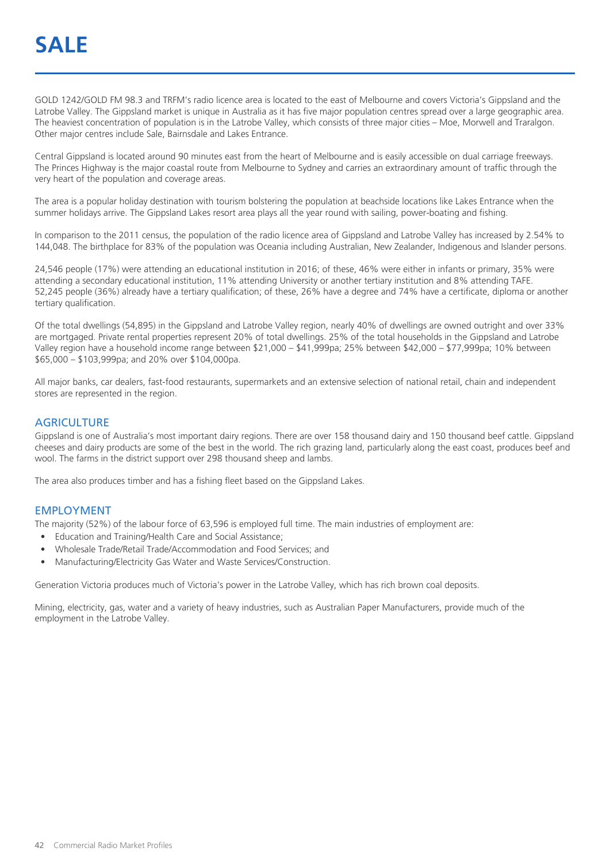GOLD 1242/GOLD FM 98.3 and TRFM's radio licence area is located to the east of Melbourne and covers Victoria's Gippsland and the Latrobe Valley. The Gippsland market is unique in Australia as it has five major population centres spread over a large geographic area. The heaviest concentration of population is in the Latrobe Valley, which consists of three major cities – Moe, Morwell and Traralgon. Other major centres include Sale, Bairnsdale and Lakes Entrance.

Central Gippsland is located around 90 minutes east from the heart of Melbourne and is easily accessible on dual carriage freeways. The Princes Highway is the major coastal route from Melbourne to Sydney and carries an extraordinary amount of traffic through the very heart of the population and coverage areas.

The area is a popular holiday destination with tourism bolstering the population at beachside locations like Lakes Entrance when the summer holidays arrive. The Gippsland Lakes resort area plays all the year round with sailing, power-boating and fishing.

In comparison to the 2011 census, the population of the radio licence area of Gippsland and Latrobe Valley has increased by 2.54% to 144,048. The birthplace for 83% of the population was Oceania including Australian, New Zealander, Indigenous and Islander persons.

24,546 people (17%) were attending an educational institution in 2016; of these, 46% were either in infants or primary, 35% were attending a secondary educational institution, 11% attending University or another tertiary institution and 8% attending TAFE. 52,245 people (36%) already have a tertiary qualification; of these, 26% have a degree and 74% have a certificate, diploma or another tertiary qualification.

Of the total dwellings (54,895) in the Gippsland and Latrobe Valley region, nearly 40% of dwellings are owned outright and over 33% are mortgaged. Private rental properties represent 20% of total dwellings. 25% of the total households in the Gippsland and Latrobe Valley region have a household income range between \$21,000 – \$41,999pa; 25% between \$42,000 – \$77,999pa; 10% between \$65,000 – \$103,999pa; and 20% over \$104,000pa.

All major banks, car dealers, fast-food restaurants, supermarkets and an extensive selection of national retail, chain and independent stores are represented in the region.

#### **AGRICULTURE**

Gippsland is one of Australia's most important dairy regions. There are over 158 thousand dairy and 150 thousand beef cattle. Gippsland cheeses and dairy products are some of the best in the world. The rich grazing land, particularly along the east coast, produces beef and wool. The farms in the district support over 298 thousand sheep and lambs.

The area also produces timber and has a fishing fleet based on the Gippsland Lakes.

#### EMPLOYMENT

The majority (52%) of the labour force of 63,596 is employed full time. The main industries of employment are:

- Education and Training/Health Care and Social Assistance;
- Wholesale Trade/Retail Trade/Accommodation and Food Services; and
- Manufacturing/Electricity Gas Water and Waste Services/Construction.

Generation Victoria produces much of Victoria's power in the Latrobe Valley, which has rich brown coal deposits.

Mining, electricity, gas, water and a variety of heavy industries, such as Australian Paper Manufacturers, provide much of the employment in the Latrobe Valley.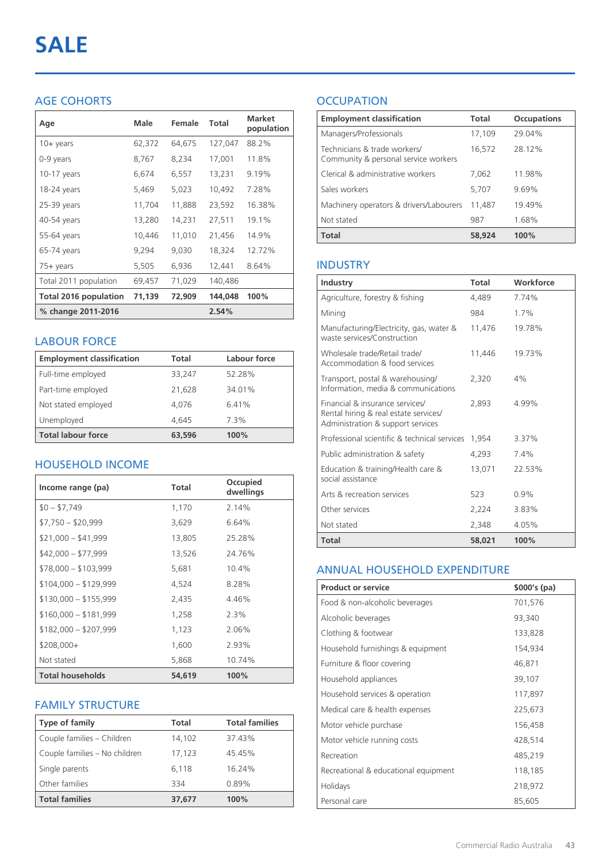# AGE COHORTS

| Age                          | Male   | Female | <b>Total</b> | <b>Market</b><br>population |
|------------------------------|--------|--------|--------------|-----------------------------|
| $10 +$ years                 | 62,372 | 64,675 | 127,047      | 88.2%                       |
| 0-9 years                    | 8,767  | 8,234  | 17,001       | 11.8%                       |
| $10-17$ years                | 6,674  | 6,557  | 13,231       | 9.19%                       |
| 18-24 years                  | 5,469  | 5,023  | 10,492       | 7.28%                       |
| 25-39 years                  | 11,704 | 11,888 | 23,592       | 16.38%                      |
| 40-54 years                  | 13,280 | 14,231 | 27,511       | 19.1%                       |
| 55-64 years                  | 10,446 | 11,010 | 21,456       | 14.9%                       |
| 65-74 years                  | 9,294  | 9,030  | 18,324       | 12.72%                      |
| 75+ years                    | 5,505  | 6,936  | 12,441       | 8.64%                       |
| Total 2011 population        | 69,457 | 71,029 | 140,486      |                             |
| <b>Total 2016 population</b> | 71,139 | 72,909 | 144,048      | 100%                        |
| % change 2011-2016           |        |        | 2.54%        |                             |

## LABOUR FORCE

| <b>Employment classification</b> | Total  | Labour force |
|----------------------------------|--------|--------------|
| Full-time employed               | 33,247 | 52.28%       |
| Part-time employed               | 21,628 | 34.01%       |
| Not stated employed              | 4.076  | 6.41%        |
| Unemployed                       | 4.645  | 7.3%         |
| <b>Total labour force</b>        | 63,596 | 100%         |

# HOUSEHOLD INCOME

| Income range (pa)       | Total  | Occupied<br>dwellings |
|-------------------------|--------|-----------------------|
| $$0 - $7,749$           | 1,170  | 2.14%                 |
| $$7,750 - $20,999$      | 3,629  | 6.64%                 |
| $$21,000 - $41,999$     | 13,805 | 25.28%                |
| $$42,000 - $77,999$     | 13,526 | 24.76%                |
| $$78,000 - $103,999$    | 5,681  | 10.4%                 |
| $$104,000 - $129,999$   | 4,524  | 8.28%                 |
| $$130,000 - $155,999$   | 2,435  | 4.46%                 |
| $$160,000 - $181,999$   | 1,258  | 2.3%                  |
| $$182,000 - $207,999$   | 1,123  | 2.06%                 |
| $$208,000+$             | 1,600  | 2.93%                 |
| Not stated              | 5,868  | 10.74%                |
| <b>Total households</b> | 54,619 | 100%                  |

## FAMILY STRUCTURE

| <b>Type of family</b>         | <b>Total</b> | <b>Total families</b> |
|-------------------------------|--------------|-----------------------|
| Couple families - Children    | 14,102       | 37.43%                |
| Couple families - No children | 17,123       | 45.45%                |
| Single parents                | 6.118        | 16.24%                |
| Other families                | 334          | 0.89%                 |
| <b>Total families</b>         | 37,677       | 100%                  |

# **OCCUPATION**

| <b>Employment classification</b>                                     | <b>Total</b> | <b>Occupations</b> |
|----------------------------------------------------------------------|--------------|--------------------|
| Managers/Professionals                                               | 17,109       | 29.04%             |
| Technicians & trade workers/<br>Community & personal service workers | 16,572       | 28.12%             |
| Clerical & administrative workers                                    | 7,062        | 11.98%             |
| Sales workers                                                        | 5,707        | 9.69%              |
| Machinery operators & drivers/Labourers                              | 11,487       | 19.49%             |
| Not stated                                                           | 987          | 1.68%              |
| <b>Total</b>                                                         | 58,924       | 100%               |

## INDUSTRY

| Industry                                                                                                      | Total  | Workforce |
|---------------------------------------------------------------------------------------------------------------|--------|-----------|
| Agriculture, forestry & fishing                                                                               | 4,489  | 7.74%     |
| Mining                                                                                                        | 984    | 1.7%      |
| Manufacturing/Electricity, gas, water &<br>waste services/Construction                                        | 11,476 | 19.78%    |
| Wholesale trade/Retail trade/<br>Accommodation & food services                                                | 11.446 | 19.73%    |
| Transport, postal & warehousing/<br>Information, media & communications                                       | 2,320  | 4%        |
| Financial & insurance services/<br>Rental hiring & real estate services/<br>Administration & support services | 2.893  | 4.99%     |
| Professional scientific & technical services                                                                  | 1.954  | 3.37%     |
| Public administration & safety                                                                                | 4,293  | 7.4%      |
| Education & training/Health care &<br>social assistance                                                       | 13,071 | 22.53%    |
| Arts & recreation services                                                                                    | 523    | 0.9%      |
| Other services                                                                                                | 2,224  | 3.83%     |
| Not stated                                                                                                    | 2.348  | 4.05%     |
| Total                                                                                                         | 58,021 | 100%      |

## ANNUAL HOUSEHOLD EXPENDITURE

| <b>Product or service</b>            | $$000's$ (pa) |
|--------------------------------------|---------------|
| Food & non-alcoholic beverages       | 701,576       |
| Alcoholic beverages                  | 93,340        |
| Clothing & footwear                  | 133,828       |
| Household furnishings & equipment    | 154,934       |
| Furniture & floor covering           | 46,871        |
| Household appliances                 | 39,107        |
| Household services & operation       | 117,897       |
| Medical care & health expenses       | 225,673       |
| Motor vehicle purchase               | 156,458       |
| Motor vehicle running costs          | 428,514       |
| Recreation                           | 485,219       |
| Recreational & educational equipment | 118,185       |
| Holidays                             | 218,972       |
| Personal care                        | 85,605        |